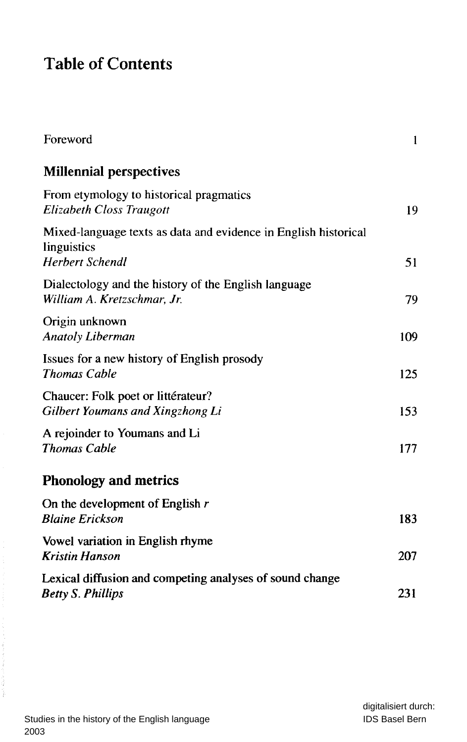## Tabl e o f Contents

| Foreword                                                                                                 | 1   |
|----------------------------------------------------------------------------------------------------------|-----|
| <b>Millennial perspectives</b>                                                                           |     |
| From etymology to historical pragmatics<br><b>Elizabeth Closs Traugott</b>                               | 19  |
| Mixed-language texts as data and evidence in English historical<br>linguistics<br><b>Herbert Schendl</b> | 51  |
| Dialectology and the history of the English language<br>William A. Kretzschmar, Jr.                      | 79  |
| Origin unknown<br><b>Anatoly Liberman</b>                                                                | 109 |
| Issues for a new history of English prosody<br><b>Thomas Cable</b>                                       | 125 |
| Chaucer: Folk poet or littérateur?<br>Gilbert Youmans and Xingzhong Li                                   | 153 |
| A rejoinder to Youmans and Li<br><b>Thomas Cable</b>                                                     | 177 |
| <b>Phonology and metrics</b>                                                                             |     |
| On the development of English $r$<br><b>Blaine Erickson</b>                                              | 183 |
| Vowel variation in English rhyme<br><b>Kristin Hanson</b>                                                | 207 |
| Lexical diffusion and competing analyses of sound change<br><b>Betty S. Phillips</b>                     | 231 |

医无发育 医心包的 医血管下腺炎 医心包